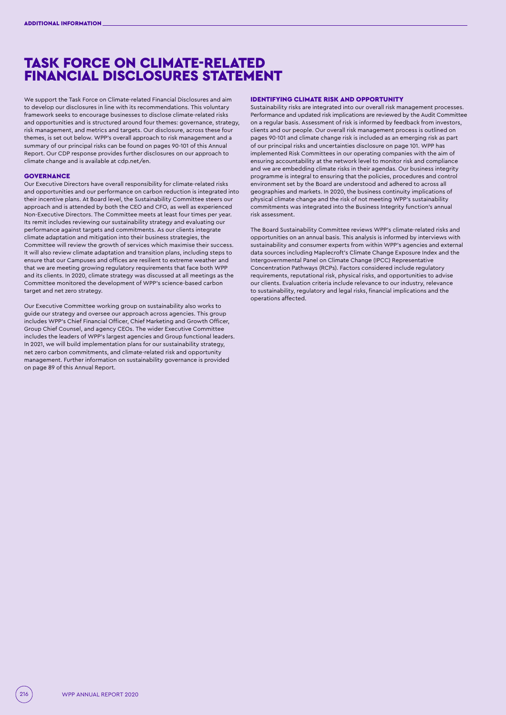# TASK FORCE ON CLIMATE-RELATED FINANCIAL DISCLOSURES STATEMENT

We support the Task Force on Climate-related Financial Disclosures and aim to develop our disclosures in line with its recommendations. This voluntary framework seeks to encourage businesses to disclose climate-related risks and opportunities and is structured around four themes: governance, strategy, risk management, and metrics and targets. Our disclosure, across these four themes, is set out below. WPP's overall approach to risk management and a summary of our principal risks can be found on pages 90-101 of this Annual Report. Our CDP response provides further disclosures on our approach to climate change and is available at cdp.net/en.

# GOVERNANCE

Our Executive Directors have overall responsibility for climate-related risks and opportunities and our performance on carbon reduction is integrated into their incentive plans. At Board level, the Sustainability Committee steers our approach and is attended by both the CEO and CFO, as well as experienced Non-Executive Directors. The Committee meets at least four times per year. Its remit includes reviewing our sustainability strategy and evaluating our performance against targets and commitments. As our clients integrate climate adaptation and mitigation into their business strategies, the Committee will review the growth of services which maximise their success. It will also review climate adaptation and transition plans, including steps to ensure that our Campuses and offices are resilient to extreme weather and that we are meeting growing regulatory requirements that face both WPP and its clients. In 2020, climate strategy was discussed at all meetings as the Committee monitored the development of WPP's science-based carbon target and net zero strategy.

Our Executive Committee working group on sustainability also works to guide our strategy and oversee our approach across agencies. This group includes WPP's Chief Financial Officer, Chief Marketing and Growth Officer, Group Chief Counsel, and agency CEOs. The wider Executive Committee includes the leaders of WPP's largest agencies and Group functional leaders. In 2021, we will build implementation plans for our sustainability strategy, net zero carbon commitments, and climate-related risk and opportunity management. Further information on sustainability governance is provided on page 89 of this Annual Report.

#### IDENTIFYING CLIMATE RISK AND OPPORTUNITY

Sustainability risks are integrated into our overall risk management processes. Performance and updated risk implications are reviewed by the Audit Committee on a regular basis. Assessment of risk is informed by feedback from investors, clients and our people. Our overall risk management process is outlined on pages 90-101 and climate change risk is included as an emerging risk as part of our principal risks and uncertainties disclosure on page 101. WPP has implemented Risk Committees in our operating companies with the aim of ensuring accountability at the network level to monitor risk and compliance and we are embedding climate risks in their agendas. Our business integrity programme is integral to ensuring that the policies, procedures and control environment set by the Board are understood and adhered to across all geographies and markets. In 2020, the business continuity implications of physical climate change and the risk of not meeting WPP's sustainability commitments was integrated into the Business Integrity function's annual risk assessment.

The Board Sustainability Committee reviews WPP's climate-related risks and opportunities on an annual basis. This analysis is informed by interviews with sustainability and consumer experts from within WPP's agencies and external data sources including Maplecroft's Climate Change Exposure Index and the Intergovernmental Panel on Climate Change (IPCC) Representative Concentration Pathways (RCPs). Factors considered include regulatory requirements, reputational risk, physical risks, and opportunities to advise our clients. Evaluation criteria include relevance to our industry, relevance to sustainability, regulatory and legal risks, financial implications and the operations affected.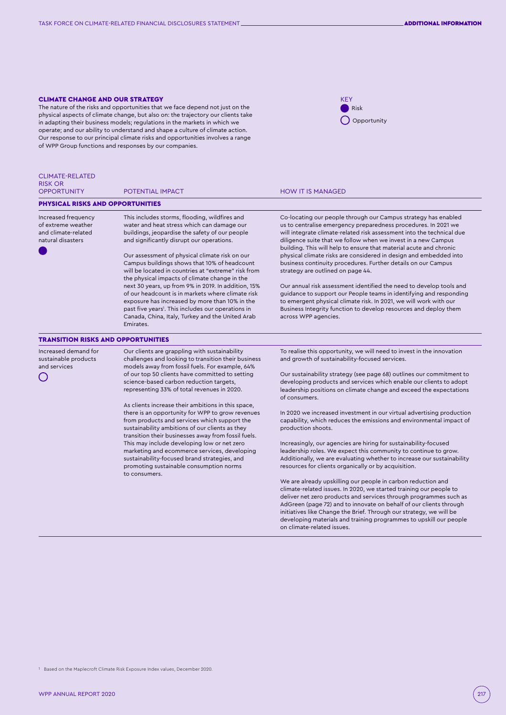## CLIMATE CHANGE AND OUR STRATEGY

The nature of the risks and opportunities that we face depend not just on the physical aspects of climate change, but also on: the trajectory our clients take in adapting their business models; regulations in the markets in which we operate; and our ability to understand and shape a culture of climate action. Our response to our principal climate risks and opportunities involves a range of WPP Group functions and responses by our companies.



| <b>CLIMATE-RELATED</b><br><b>RISK OR</b><br><b>OPPORTUNITY</b>                        | POTENTIAL IMPACT                                                                                                                                                                                                                                                                                                                                                                                     | <b>HOW IT IS MANAGED</b>                                                                                                                                                                                                                                                                                                                                                                                                                                                                                                    |
|---------------------------------------------------------------------------------------|------------------------------------------------------------------------------------------------------------------------------------------------------------------------------------------------------------------------------------------------------------------------------------------------------------------------------------------------------------------------------------------------------|-----------------------------------------------------------------------------------------------------------------------------------------------------------------------------------------------------------------------------------------------------------------------------------------------------------------------------------------------------------------------------------------------------------------------------------------------------------------------------------------------------------------------------|
| <b>PHYSICAL RISKS AND OPPORTUNITIES</b>                                               |                                                                                                                                                                                                                                                                                                                                                                                                      |                                                                                                                                                                                                                                                                                                                                                                                                                                                                                                                             |
|                                                                                       |                                                                                                                                                                                                                                                                                                                                                                                                      |                                                                                                                                                                                                                                                                                                                                                                                                                                                                                                                             |
| Increased frequency<br>of extreme weather<br>and climate-related<br>natural disasters | This includes storms, flooding, wildfires and<br>water and heat stress which can damage our<br>buildings, jeopardise the safety of our people<br>and significantly disrupt our operations.<br>Our assessment of physical climate risk on our<br>Campus buildings shows that 10% of headcount<br>will be located in countries at "extreme" risk from<br>the physical impacts of climate change in the | Co-locating our people through our Campus strategy has enabled<br>us to centralise emergency preparedness procedures. In 2021 we<br>will integrate climate-related risk assessment into the technical due<br>diligence suite that we follow when we invest in a new Campus<br>building. This will help to ensure that material acute and chronic<br>physical climate risks are considered in design and embedded into<br>business continuity procedures. Further details on our Campus<br>strategy are outlined on page 44. |
|                                                                                       | next 30 years, up from 9% in 2019. In addition, 15%<br>of our headcount is in markets where climate risk<br>exposure has increased by more than 10% in the<br>past five years <sup>1</sup> . This includes our operations in<br>Canada, China, Italy, Turkey and the United Arab<br>Emirates.                                                                                                        | Our annual risk assessment identified the need to develop tools and<br>guidance to support our People teams in identifying and responding<br>to emergent physical climate risk. In 2021, we will work with our<br>Business Integrity function to develop resources and deploy them<br>across WPP agencies.                                                                                                                                                                                                                  |
| <b>TRANSITION RISKS AND OPPORTUNITIES</b>                                             |                                                                                                                                                                                                                                                                                                                                                                                                      |                                                                                                                                                                                                                                                                                                                                                                                                                                                                                                                             |
| Increased demand for<br>sustainable products<br>and services                          | Our clients are grappling with sustainability<br>challenges and looking to transition their business<br>models away from fossil fuels. For example, 64%                                                                                                                                                                                                                                              | To realise this opportunity, we will need to invest in the innovation<br>and growth of sustainability-focused services.                                                                                                                                                                                                                                                                                                                                                                                                     |
|                                                                                       | of our top 50 clients have committed to setting<br>science-based carbon reduction targets,<br>representing 33% of total revenues in 2020.                                                                                                                                                                                                                                                            | Our sustainability strategy (see page 68) outlines our commitment to<br>developing products and services which enable our clients to adopt<br>leadership positions on climate change and exceed the expectations<br>of consumers.                                                                                                                                                                                                                                                                                           |
|                                                                                       | As clients increase their ambitions in this space,<br>there is an opportunity for WPP to grow revenues<br>from products and services which support the<br>sustainability ambitions of our clients as they<br>transition their businesses away from fossil fuels.                                                                                                                                     | In 2020 we increased investment in our virtual advertising production<br>capability, which reduces the emissions and environmental impact of<br>production shoots.                                                                                                                                                                                                                                                                                                                                                          |
|                                                                                       | This may include developing low or net zero<br>marketing and ecommerce services, developing<br>sustainability-focused brand strategies, and<br>promoting sustainable consumption norms                                                                                                                                                                                                               | Increasingly, our agencies are hiring for sustainability-focused<br>leadership roles. We expect this community to continue to grow.<br>Additionally, we are evaluating whether to increase our sustainability<br>resources for clients organically or by acquisition.                                                                                                                                                                                                                                                       |
|                                                                                       | to consumers.                                                                                                                                                                                                                                                                                                                                                                                        | We are already upskilling our people in carbon reduction and                                                                                                                                                                                                                                                                                                                                                                                                                                                                |

climate-related issues. In 2020, we started training our people to deliver net zero products and services through programmes such as AdGreen (page 72) and to innovate on behalf of our clients through initiatives like Change the Brief. Through our strategy, we will be developing materials and training programmes to upskill our people on climate-related issues.

1 Based on the Maplecroft Climate Risk Exposure Index values, December 2020.